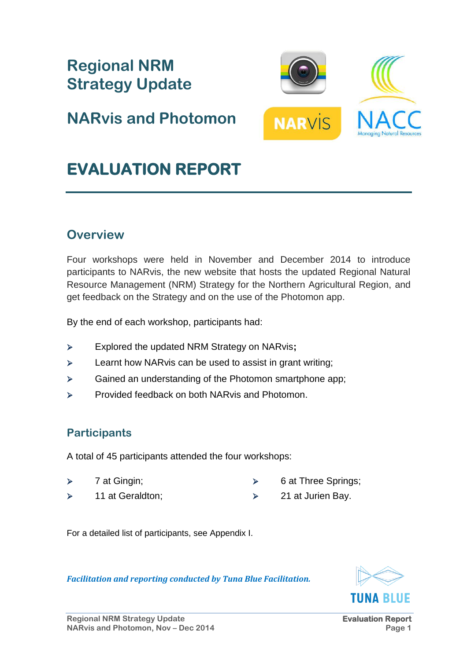

For a detailed list of participants, see Appendix I.

# TIINA RI IIF

A total of 45 participants attended the four workshops:

*Facilitation and reporting conducted by Tuna Blue Facilitation.*

- $\triangleright$  7 at Gingin;
- $\geq$  11 at Geraldton:
- $\triangleright$  6 at Three Springs;
- $\geq$  21 at Jurien Bay.

# **Participants**

# **Overview**

Four workshops were held in November and December 2014 to introduce participants to NARvis, the new website that hosts the updated Regional Natural Resource Management (NRM) Strategy for the Northern Agricultural Region, and get feedback on the Strategy and on the use of the Photomon app.

By the end of each workshop, participants had:

- Explored the updated NRM Strategy on NARvis**;**
- $\triangleright$  Learnt how NARvis can be used to assist in grant writing;
- $\triangleright$  Gained an understanding of the Photomon smartphone app;
- **EXECUTE:** Provided feedback on both NARvis and Photomon.
- 



**Regional NRM** 

**Strategy Update**

**NARvis and Photomon**

**EVALUATION REPORT** 



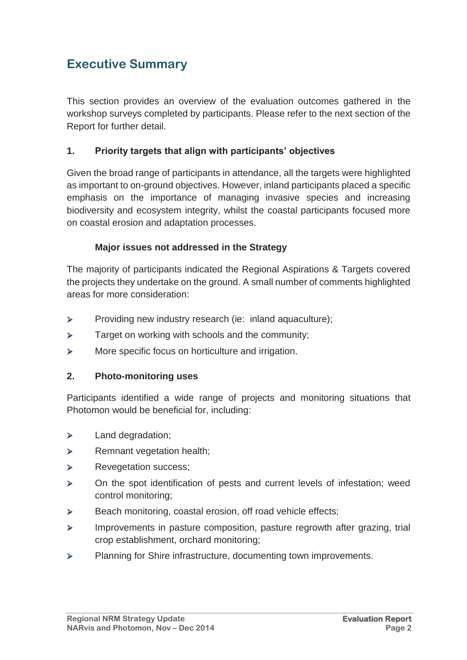# **Executive Summary**

This section provides an overview of the evaluation outcomes gathered in the workshop surveys completed by participants. Please refer to the next section of the Report for further detail.

#### **1. Priority targets that align with participants' objectives**

Given the broad range of participants in attendance, all the targets were highlighted as important to on-ground objectives. However, inland participants placed a specific emphasis on the importance of managing invasive species and increasing biodiversity and ecosystem integrity, whilst the coastal participants focused more on coastal erosion and adaptation processes.

#### **Major issues not addressed in the Strategy**

The majority of participants indicated the Regional Aspirations & Targets covered the projects they undertake on the ground. A small number of comments highlighted areas for more consideration:

- Providing new industry research (ie: inland aquaculture);
- $\triangleright$  Target on working with schools and the community;
- > More specific focus on horticulture and irrigation.

#### **2. Photo-monitoring uses**

Participants identified a wide range of projects and monitoring situations that Photomon would be beneficial for, including:

- > Land degradation;
- > Remnant vegetation health;
- > Revegetation success;
- $\triangleright$  On the spot identification of pests and current levels of infestation; weed control monitoring;
- $\triangleright$  Beach monitoring, coastal erosion, off road vehicle effects;
- Improvements in pasture composition, pasture regrowth after grazing, trial crop establishment, orchard monitoring;
- $\triangleright$  Planning for Shire infrastructure, documenting town improvements.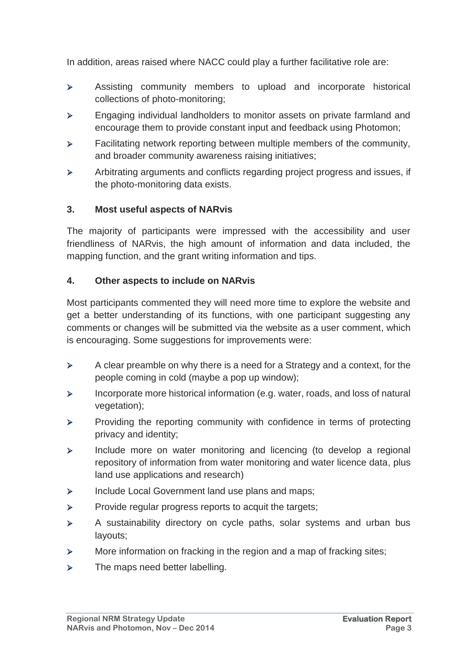In addition, areas raised where NACC could play a further facilitative role are:

- Assisting community members to upload and incorporate historical collections of photo-monitoring;
- **Engaging individual landholders to monitor assets on private farmland and** encourage them to provide constant input and feedback using Photomon;
- $\triangleright$  Facilitating network reporting between multiple members of the community, and broader community awareness raising initiatives;
- Arbitrating arguments and conflicts regarding project progress and issues, if the photo-monitoring data exists.

#### **3. Most useful aspects of NARvis**

The majority of participants were impressed with the accessibility and user friendliness of NARvis, the high amount of information and data included, the mapping function, and the grant writing information and tips.

#### **4. Other aspects to include on NARvis**

Most participants commented they will need more time to explore the website and get a better understanding of its functions, with one participant suggesting any comments or changes will be submitted via the website as a user comment, which is encouraging. Some suggestions for improvements were:

- $\triangleright$  A clear preamble on why there is a need for a Strategy and a context, for the people coming in cold (maybe a pop up window);
- $\triangleright$  Incorporate more historical information (e.g. water, roads, and loss of natural vegetation);
- $\triangleright$  Providing the reporting community with confidence in terms of protecting privacy and identity;
- $\triangleright$  Include more on water monitoring and licencing (to develop a regional repository of information from water monitoring and water licence data, plus land use applications and research)
- $\triangleright$  Include Local Government land use plans and maps;
- $\triangleright$  Provide regular progress reports to acquit the targets;
- $\triangleright$  A sustainability directory on cycle paths, solar systems and urban bus layouts;
- **EXECT** More information on fracking in the region and a map of fracking sites;
- $\triangleright$  The maps need better labelling.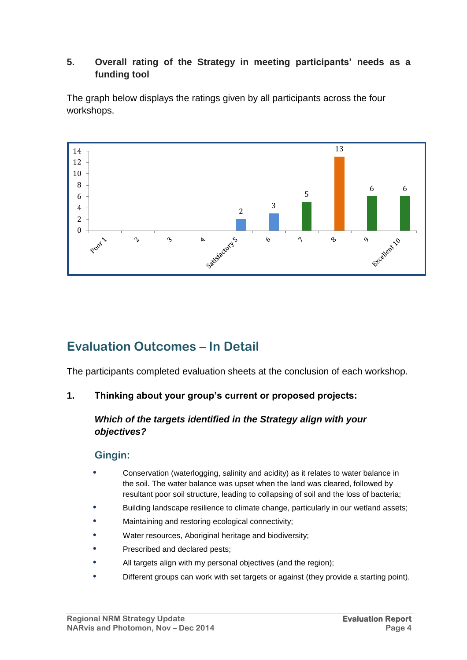#### **5. Overall rating of the Strategy in meeting participants' needs as a funding tool**

The graph below displays the ratings given by all participants across the four workshops.



# **Evaluation Outcomes – In Detail**

The participants completed evaluation sheets at the conclusion of each workshop.

#### **1. Thinking about your group's current or proposed projects:**

#### *Which of the targets identified in the Strategy align with your objectives?*

#### **Gingin:**

- **•** Conservation (waterlogging, salinity and acidity) as it relates to water balance in the soil. The water balance was upset when the land was cleared, followed by resultant poor soil structure, leading to collapsing of soil and the loss of bacteria;
- **•** Building landscape resilience to climate change, particularly in our wetland assets;
- **•** Maintaining and restoring ecological connectivity;
- **•** Water resources, Aboriginal heritage and biodiversity;
- **•** Prescribed and declared pests;
- **•** All targets align with my personal objectives (and the region);
- **•** Different groups can work with set targets or against (they provide a starting point).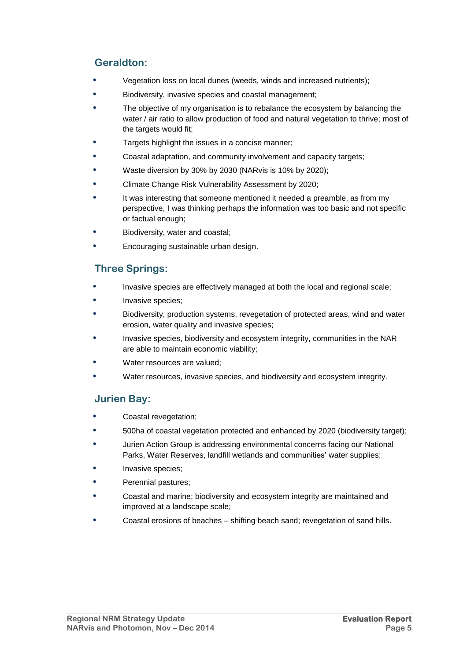#### **Geraldton:**

- **•** Vegetation loss on local dunes (weeds, winds and increased nutrients);
- **•** Biodiversity, invasive species and coastal management;
- **•** The objective of my organisation is to rebalance the ecosystem by balancing the water / air ratio to allow production of food and natural vegetation to thrive; most of the targets would fit;
- **•** Targets highlight the issues in a concise manner;
- **•** Coastal adaptation, and community involvement and capacity targets;
- **•** Waste diversion by 30% by 2030 (NARvis is 10% by 2020);
- **•** Climate Change Risk Vulnerability Assessment by 2020;
- **•** It was interesting that someone mentioned it needed a preamble, as from my perspective, I was thinking perhaps the information was too basic and not specific or factual enough;
- **•** Biodiversity, water and coastal;
- **•** Encouraging sustainable urban design.

#### **Three Springs:**

- **•** Invasive species are effectively managed at both the local and regional scale;
- **•** Invasive species;
- **•** Biodiversity, production systems, revegetation of protected areas, wind and water erosion, water quality and invasive species;
- **•** Invasive species, biodiversity and ecosystem integrity, communities in the NAR are able to maintain economic viability;
- **•** Water resources are valued;
- **•** Water resources, invasive species, and biodiversity and ecosystem integrity.

#### **Jurien Bay:**

- **•** Coastal revegetation;
- **•** 500ha of coastal vegetation protected and enhanced by 2020 (biodiversity target);
- **•** Jurien Action Group is addressing environmental concerns facing our National Parks, Water Reserves, landfill wetlands and communities' water supplies;
- **•** Invasive species;
- **•** Perennial pastures;
- **•** Coastal and marine; biodiversity and ecosystem integrity are maintained and improved at a landscape scale;
- **•** Coastal erosions of beaches shifting beach sand; revegetation of sand hills.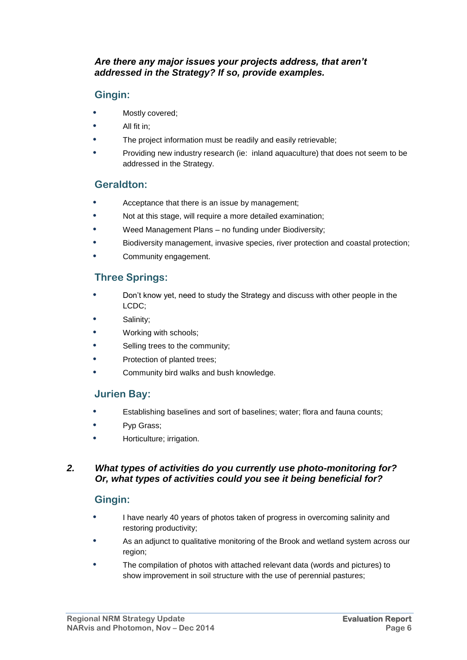#### *Are there any major issues your projects address, that aren't addressed in the Strategy? If so, provide examples.*

### **Gingin:**

- **•** Mostly covered;
- **•** All fit in;
- **•** The project information must be readily and easily retrievable;
- **•** Providing new industry research (ie: inland aquaculture) that does not seem to be addressed in the Strategy.

#### **Geraldton:**

- **•** Acceptance that there is an issue by management;
- **•** Not at this stage, will require a more detailed examination;
- **•** Weed Management Plans no funding under Biodiversity;
- **•** Biodiversity management, invasive species, river protection and coastal protection;
- **•** Community engagement.

#### **Three Springs:**

- **•** Don't know yet, need to study the Strategy and discuss with other people in the LCDC;
- **•** Salinity;
- **•** Working with schools;
- **•** Selling trees to the community;
- **•** Protection of planted trees;
- **•** Community bird walks and bush knowledge.

#### **Jurien Bay:**

- **•** Establishing baselines and sort of baselines; water; flora and fauna counts;
- **•** Pyp Grass;
- **•** Horticulture; irrigation.

#### *2. What types of activities do you currently use photo-monitoring for? Or, what types of activities could you see it being beneficial for?*

#### **Gingin:**

- **•** I have nearly 40 years of photos taken of progress in overcoming salinity and restoring productivity;
- **•** As an adjunct to qualitative monitoring of the Brook and wetland system across our region;
- **•** The compilation of photos with attached relevant data (words and pictures) to show improvement in soil structure with the use of perennial pastures;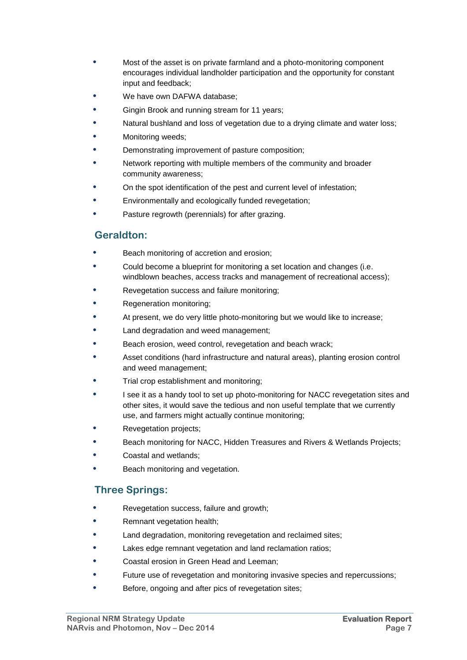- **•** Most of the asset is on private farmland and a photo-monitoring component encourages individual landholder participation and the opportunity for constant input and feedback;
- **•** We have own DAFWA database;
- **•** Gingin Brook and running stream for 11 years;
- **•** Natural bushland and loss of vegetation due to a drying climate and water loss;
- **•** Monitoring weeds;
- **•** Demonstrating improvement of pasture composition;
- **•** Network reporting with multiple members of the community and broader community awareness;
- **•** On the spot identification of the pest and current level of infestation;
- **•** Environmentally and ecologically funded revegetation;
- **•** Pasture regrowth (perennials) for after grazing.

#### **Geraldton:**

- **•** Beach monitoring of accretion and erosion;
- **•** Could become a blueprint for monitoring a set location and changes (i.e. windblown beaches, access tracks and management of recreational access);
- **•** Revegetation success and failure monitoring;
- **•** Regeneration monitoring;
- **•** At present, we do very little photo-monitoring but we would like to increase;
- **•** Land degradation and weed management;
- **•** Beach erosion, weed control, revegetation and beach wrack;
- **•** Asset conditions (hard infrastructure and natural areas), planting erosion control and weed management;
- **•** Trial crop establishment and monitoring;
- **•** I see it as a handy tool to set up photo-monitoring for NACC revegetation sites and other sites, it would save the tedious and non useful template that we currently use, and farmers might actually continue monitoring;
- **•** Revegetation projects;
- **•** Beach monitoring for NACC, Hidden Treasures and Rivers & Wetlands Projects;
- **•** Coastal and wetlands;
- **•** Beach monitoring and vegetation.

#### **Three Springs:**

- **•** Revegetation success, failure and growth;
- **•** Remnant vegetation health;
- **•** Land degradation, monitoring revegetation and reclaimed sites;
- **•** Lakes edge remnant vegetation and land reclamation ratios;
- **•** Coastal erosion in Green Head and Leeman;
- **•** Future use of revegetation and monitoring invasive species and repercussions;
- **•** Before, ongoing and after pics of revegetation sites;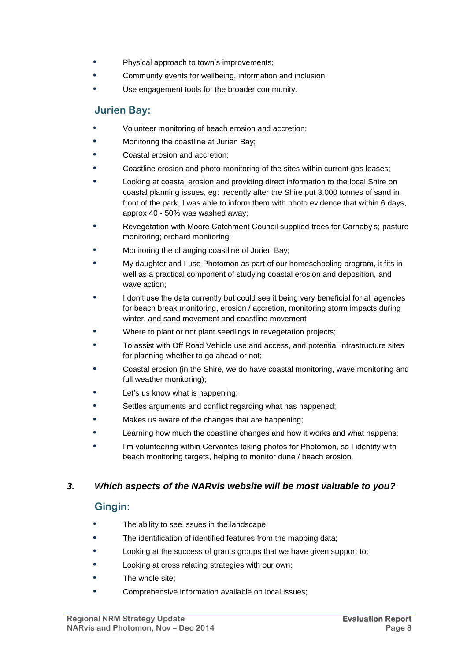- **•** Physical approach to town's improvements;
- **•** Community events for wellbeing, information and inclusion;
- **•** Use engagement tools for the broader community.

#### **Jurien Bay:**

- **•** Volunteer monitoring of beach erosion and accretion;
- **•** Monitoring the coastline at Jurien Bay;
- **•** Coastal erosion and accretion;
- **•** Coastline erosion and photo-monitoring of the sites within current gas leases;
- **•** Looking at coastal erosion and providing direct information to the local Shire on coastal planning issues, eg: recently after the Shire put 3,000 tonnes of sand in front of the park, I was able to inform them with photo evidence that within 6 days, approx 40 - 50% was washed away;
- **•** Revegetation with Moore Catchment Council supplied trees for Carnaby's; pasture monitoring; orchard monitoring;
- **•** Monitoring the changing coastline of Jurien Bay;
- **•** My daughter and I use Photomon as part of our homeschooling program, it fits in well as a practical component of studying coastal erosion and deposition, and wave action;
- **•** I don't use the data currently but could see it being very beneficial for all agencies for beach break monitoring, erosion / accretion, monitoring storm impacts during winter, and sand movement and coastline movement
- **•** Where to plant or not plant seedlings in revegetation projects;
- **•** To assist with Off Road Vehicle use and access, and potential infrastructure sites for planning whether to go ahead or not;
- **•** Coastal erosion (in the Shire, we do have coastal monitoring, wave monitoring and full weather monitoring);
- **•** Let's us know what is happening;
- **•** Settles arguments and conflict regarding what has happened;
- **•** Makes us aware of the changes that are happening;
- **•** Learning how much the coastline changes and how it works and what happens;
- **•** I'm volunteering within Cervantes taking photos for Photomon, so I identify with beach monitoring targets, helping to monitor dune / beach erosion.

#### *3. Which aspects of the NARvis website will be most valuable to you?*

#### **Gingin:**

- **•** The ability to see issues in the landscape;
- **•** The identification of identified features from the mapping data;
- **•** Looking at the success of grants groups that we have given support to;
- **•** Looking at cross relating strategies with our own;
- **•** The whole site;
- **•** Comprehensive information available on local issues;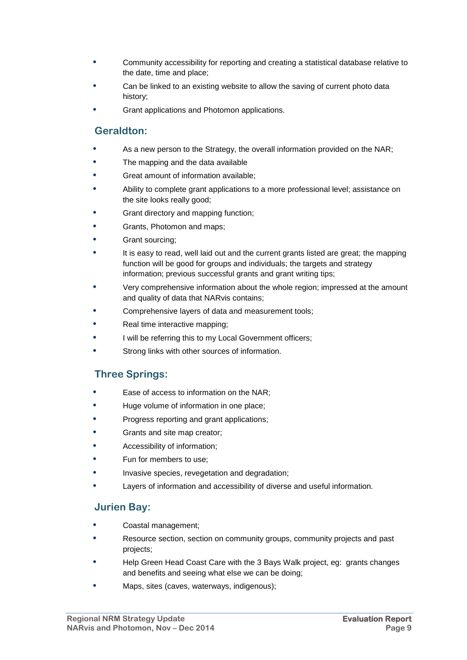- **•** Community accessibility for reporting and creating a statistical database relative to the date, time and place;
- **•** Can be linked to an existing website to allow the saving of current photo data history;
- **•** Grant applications and Photomon applications.

### **Geraldton:**

- **•** As a new person to the Strategy, the overall information provided on the NAR;
- **•** The mapping and the data available
- **•** Great amount of information available;
- **•** Ability to complete grant applications to a more professional level; assistance on the site looks really good;
- **•** Grant directory and mapping function;
- **•** Grants, Photomon and maps;
- **•** Grant sourcing;
- **•** It is easy to read, well laid out and the current grants listed are great; the mapping function will be good for groups and individuals; the targets and strategy information; previous successful grants and grant writing tips;
- **•** Very comprehensive information about the whole region; impressed at the amount and quality of data that NARvis contains;
- **•** Comprehensive layers of data and measurement tools;
- **•** Real time interactive mapping;
- **•** I will be referring this to my Local Government officers;
- **•** Strong links with other sources of information.

### **Three Springs:**

- **•** Ease of access to information on the NAR;
- **•** Huge volume of information in one place;
- **•** Progress reporting and grant applications;
- **•** Grants and site map creator;
- **•** Accessibility of information;
- **•** Fun for members to use;
- **•** Invasive species, revegetation and degradation;
- **•** Layers of information and accessibility of diverse and useful information.

#### **Jurien Bay:**

- **•** Coastal management;
- **•** Resource section, section on community groups, community projects and past projects;
- **•** Help Green Head Coast Care with the 3 Bays Walk project, eg: grants changes and benefits and seeing what else we can be doing;
- **•** Maps, sites (caves, waterways, indigenous);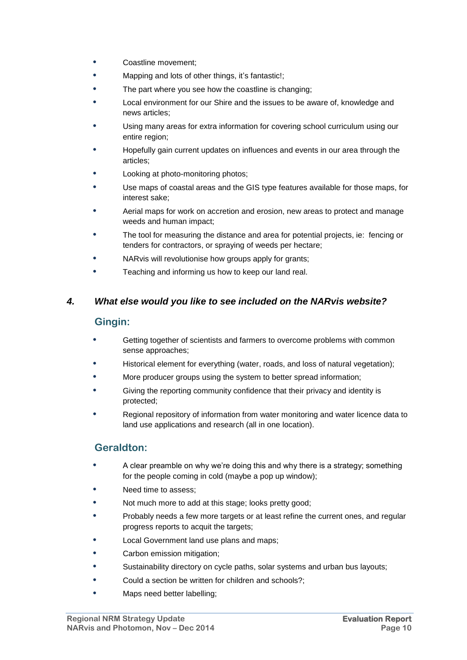- **•** Coastline movement;
- **•** Mapping and lots of other things, it's fantastic!;
- **•** The part where you see how the coastline is changing;
- **•** Local environment for our Shire and the issues to be aware of, knowledge and news articles;
- **•** Using many areas for extra information for covering school curriculum using our entire region;
- **•** Hopefully gain current updates on influences and events in our area through the articles;
- **•** Looking at photo-monitoring photos;
- **•** Use maps of coastal areas and the GIS type features available for those maps, for interest sake;
- **•** Aerial maps for work on accretion and erosion, new areas to protect and manage weeds and human impact;
- **•** The tool for measuring the distance and area for potential projects, ie: fencing or tenders for contractors, or spraying of weeds per hectare;
- **•** NARvis will revolutionise how groups apply for grants;
- **•** Teaching and informing us how to keep our land real.

#### *4. What else would you like to see included on the NARvis website?*

#### **Gingin:**

- **•** Getting together of scientists and farmers to overcome problems with common sense approaches;
- **•** Historical element for everything (water, roads, and loss of natural vegetation);
- **•** More producer groups using the system to better spread information;
- **•** Giving the reporting community confidence that their privacy and identity is protected;
- **•** Regional repository of information from water monitoring and water licence data to land use applications and research (all in one location).

#### **Geraldton:**

- **•** A clear preamble on why we're doing this and why there is a strategy; something for the people coming in cold (maybe a pop up window);
- **•** Need time to assess;
- **•** Not much more to add at this stage; looks pretty good;
- **•** Probably needs a few more targets or at least refine the current ones, and regular progress reports to acquit the targets;
- **•** Local Government land use plans and maps;
- **•** Carbon emission mitigation;
- **•** Sustainability directory on cycle paths, solar systems and urban bus layouts;
- **•** Could a section be written for children and schools?;
- **•** Maps need better labelling;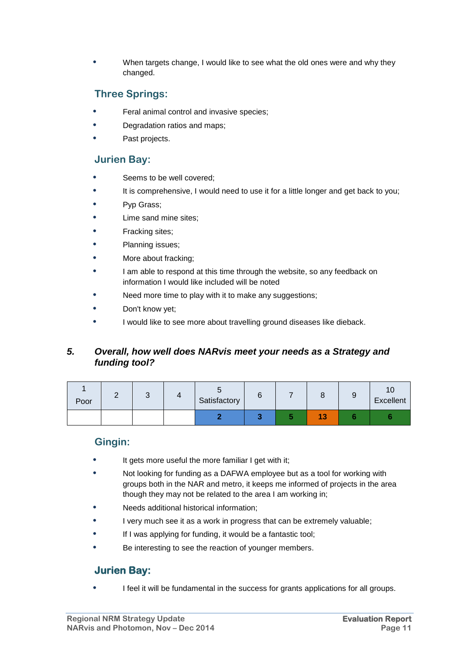**•** When targets change, I would like to see what the old ones were and why they changed.

#### **Three Springs:**

- **•** Feral animal control and invasive species;
- **•** Degradation ratios and maps;
- **•** Past projects.

#### **Jurien Bay:**

- **•** Seems to be well covered;
- **•** It is comprehensive, I would need to use it for a little longer and get back to you;
- **•** Pyp Grass;
- **•** Lime sand mine sites;
- **•** Fracking sites;
- **•** Planning issues;
- **•** More about fracking;
- **•** I am able to respond at this time through the website, so any feedback on information I would like included will be noted
- **•** Need more time to play with it to make any suggestions;
- **•** Don't know yet;
- **•** I would like to see more about travelling ground diseases like dieback.

#### *5. Overall, how well does NARvis meet your needs as a Strategy and funding tool?*

| Poor |  | Satisfactory | ີ |                    | u | ٢U<br>Excellent |
|------|--|--------------|---|--------------------|---|-----------------|
|      |  |              |   | $\sim$<br>и<br>- 1 |   |                 |

#### **Gingin:**

- **•** It gets more useful the more familiar I get with it;
- **•** Not looking for funding as a DAFWA employee but as a tool for working with groups both in the NAR and metro, it keeps me informed of projects in the area though they may not be related to the area I am working in;
- **•** Needs additional historical information;
- **•** I very much see it as a work in progress that can be extremely valuable;
- **•** If I was applying for funding, it would be a fantastic tool;
- **•** Be interesting to see the reaction of younger members.

#### **Jurien Bay:**

**•** I feel it will be fundamental in the success for grants applications for all groups.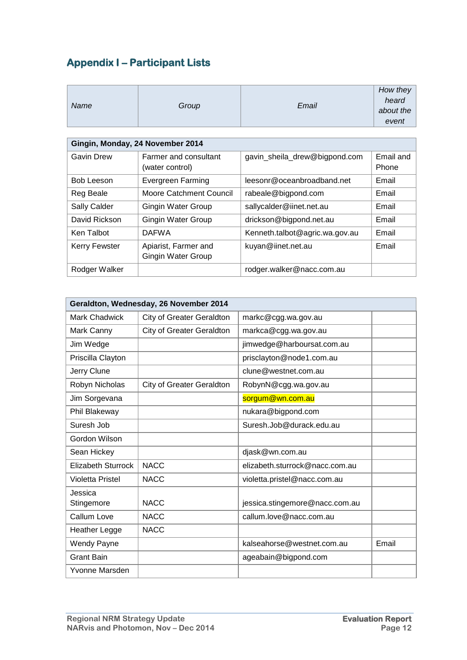# **Appendix I – Participant Lists**

| Name                             | Group                                      | Email                          | How they<br>heard<br>about the<br>event |  |  |  |
|----------------------------------|--------------------------------------------|--------------------------------|-----------------------------------------|--|--|--|
| Gingin, Monday, 24 November 2014 |                                            |                                |                                         |  |  |  |
| Gavin Drew                       | Farmer and consultant<br>(water control)   | gavin_sheila_drew@bigpond.com  | Email and<br>Phone                      |  |  |  |
| <b>Bob Leeson</b>                | Evergreen Farming                          | leesonr@oceanbroadband.net     | Email                                   |  |  |  |
| Reg Beale                        | <b>Moore Catchment Council</b>             | rabeale@bigpond.com            | Email                                   |  |  |  |
| Sally Calder                     | Gingin Water Group                         | sallycalder@iinet.net.au       | Email                                   |  |  |  |
| David Rickson                    | Gingin Water Group                         | drickson@bigpond.net.au        | Email                                   |  |  |  |
| Ken Talbot                       | <b>DAFWA</b>                               | Kenneth.talbot@agric.wa.gov.au | Email                                   |  |  |  |
| Kerry Fewster                    | Apiarist, Farmer and<br>Gingin Water Group | kuyan@iinet.net.au             | Email                                   |  |  |  |
| Rodger Walker                    |                                            | rodger.walker@nacc.com.au      |                                         |  |  |  |

| Geraldton, Wednesday, 26 November 2014 |                                  |                                |       |  |  |
|----------------------------------------|----------------------------------|--------------------------------|-------|--|--|
| <b>Mark Chadwick</b>                   | <b>City of Greater Geraldton</b> | markc@cgg.wa.gov.au            |       |  |  |
| Mark Canny                             | <b>City of Greater Geraldton</b> | markca@cgg.wa.gov.au           |       |  |  |
| Jim Wedge                              |                                  | jimwedge@harboursat.com.au     |       |  |  |
| Priscilla Clayton                      |                                  | prisclayton@node1.com.au       |       |  |  |
| Jerry Clune                            |                                  | clune@westnet.com.au           |       |  |  |
| Robyn Nicholas                         | City of Greater Geraldton        | RobynN@cgg.wa.gov.au           |       |  |  |
| Jim Sorgevana                          |                                  | sorgum@wn.com.au               |       |  |  |
| Phil Blakeway                          |                                  | nukara@bigpond.com             |       |  |  |
| Suresh Job                             |                                  | Suresh.Job@durack.edu.au       |       |  |  |
| Gordon Wilson                          |                                  |                                |       |  |  |
| Sean Hickey                            |                                  | djask@wn.com.au                |       |  |  |
| <b>Elizabeth Sturrock</b>              | <b>NACC</b>                      | elizabeth.sturrock@nacc.com.au |       |  |  |
| <b>Violetta Pristel</b>                | <b>NACC</b>                      | violetta.pristel@nacc.com.au   |       |  |  |
| Jessica<br>Stingemore                  | <b>NACC</b>                      | jessica.stingemore@nacc.com.au |       |  |  |
| Callum Love                            | <b>NACC</b>                      | callum.love@nacc.com.au        |       |  |  |
| <b>Heather Legge</b>                   | <b>NACC</b>                      |                                |       |  |  |
| <b>Wendy Payne</b>                     |                                  | kalseahorse@westnet.com.au     | Email |  |  |
| <b>Grant Bain</b>                      |                                  | ageabain@bigpond.com           |       |  |  |
| Yvonne Marsden                         |                                  |                                |       |  |  |